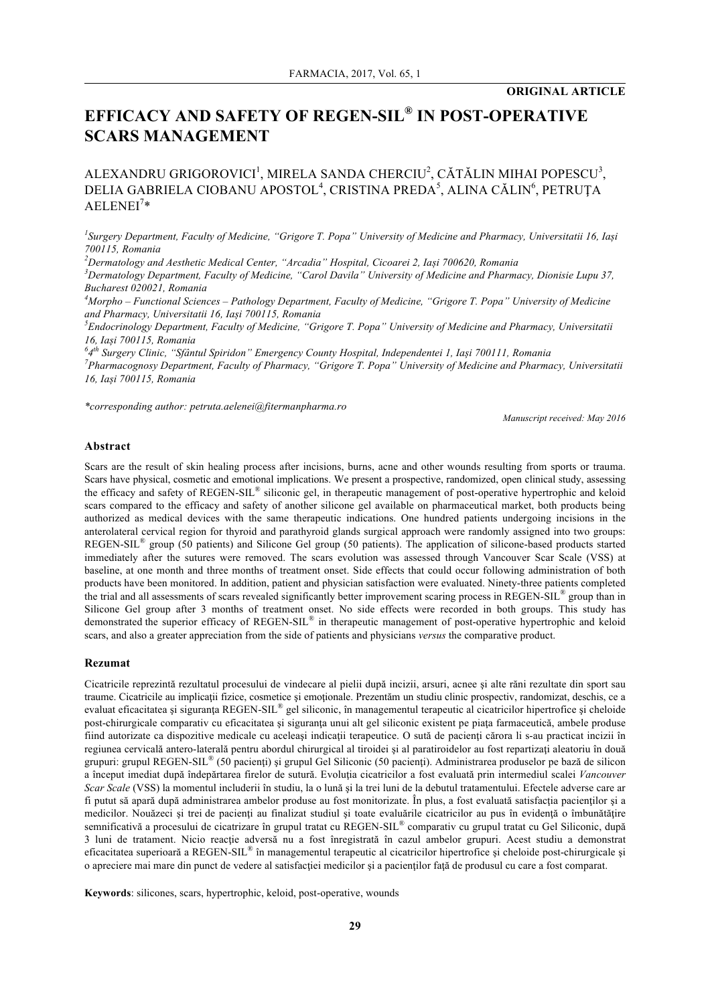# **EFFICACY AND SAFETY OF REGEN-SIL® IN POST-OPERATIVE SCARS MANAGEMENT**

# ALEXANDRU GRIGOROVICI<sup>1</sup>, MIRELA SANDA CHERCIU<sup>2</sup>, CĂTĂLIN MIHAI POPESCU<sup>3</sup>, DELIA GABRIELA CIOBANU APOSTOL<sup>4</sup>, CRISTINA PREDA<sup>5</sup>, ALINA CĂLIN<sup>6</sup>, PETRUȚA  $AELENEI<sup>7</sup>*$

*1 Surgery Department, Faculty of Medicine, "Grigore T. Popa" University of Medicine and Pharmacy, Universitatii 16, Iași 700115, Romania*

*2 Dermatology and Aesthetic Medical Center, "Arcadia" Hospital, Cicoarei 2, Iași 700620, Romania*

*3 Dermatology Department, Faculty of Medicine, "Carol Davila" University of Medicine and Pharmacy, Dionisie Lupu 37, Bucharest 020021, Romania*

*4 Morpho – Functional Sciences – Pathology Department, Faculty of Medicine, "Grigore T. Popa" University of Medicine and Pharmacy, Universitatii 16, Iași 700115, Romania*

*5 Endocrinology Department, Faculty of Medicine, "Grigore T. Popa" University of Medicine and Pharmacy, Universitatii 16, Iași 700115, Romania*

*6 4th Surgery Clinic, "Sfântul Spiridon" Emergency County Hospital, Independentei 1, Iași 700111, Romania*

*7 Pharmacognosy Department, Faculty of Pharmacy, "Grigore T. Popa" University of Medicine and Pharmacy, Universitatii 16, Iași 700115, Romania*

*\*corresponding author: petruta.aelenei@fitermanpharma.ro*

*Manuscript received: May 2016*

#### **Abstract**

Scars are the result of skin healing process after incisions, burns, acne and other wounds resulting from sports or trauma. Scars have physical, cosmetic and emotional implications. We present a prospective, randomized, open clinical study, assessing the efficacy and safety of REGEN-SIL® siliconic gel, in therapeutic management of post-operative hypertrophic and keloid scars compared to the efficacy and safety of another silicone gel available on pharmaceutical market, both products being authorized as medical devices with the same therapeutic indications. One hundred patients undergoing incisions in the anterolateral cervical region for thyroid and parathyroid glands surgical approach were randomly assigned into two groups: REGEN-SIL® group (50 patients) and Silicone Gel group (50 patients). The application of silicone-based products started immediately after the sutures were removed. The scars evolution was assessed through Vancouver Scar Scale (VSS) at baseline, at one month and three months of treatment onset. Side effects that could occur following administration of both products have been monitored. In addition, patient and physician satisfaction were evaluated. Ninety-three patients completed the trial and all assessments of scars revealed significantly better improvement scaring process in REGEN-SIL<sup>®</sup> group than in Silicone Gel group after 3 months of treatment onset. No side effects were recorded in both groups. This study has demonstrated the superior efficacy of REGEN-SIL<sup>®</sup> in therapeutic management of post-operative hypertrophic and keloid scars, and also a greater appreciation from the side of patients and physicians *versus* the comparative product.

#### **Rezumat**

Cicatricile reprezintă rezultatul procesului de vindecare al pielii după incizii, arsuri, acnee şi alte răni rezultate din sport sau traume. Cicatricile au implicații fizice, cosmetice și emoționale. Prezentăm un studiu clinic prospectiv, randomizat, deschis, ce a evaluat eficacitatea și siguranța REGEN-SIL<sup>®</sup> gel siliconic, în managementul terapeutic al cicatricilor hipertrofice și cheloide post-chirurgicale comparativ cu eficacitatea și siguranța unui alt gel siliconic existent pe piața farmaceutică, ambele produse fiind autorizate ca dispozitive medicale cu aceleași indicații terapeutice. O sută de pacienți cărora li s-au practicat incizii în regiunea cervicală antero-laterală pentru abordul chirurgical al tiroidei și al paratiroidelor au fost repartizați aleatoriu în două grupuri: grupul REGEN-SIL® (50 pacienţi) şi grupul Gel Siliconic (50 pacienţi). Administrarea produselor pe bază de silicon a început imediat după îndepărtarea firelor de sutură. Evoluţia cicatricilor a fost evaluată prin intermediul scalei *Vancouver Scar Scale* (VSS) la momentul includerii în studiu, la o lună şi la trei luni de la debutul tratamentului. Efectele adverse care ar fi putut să apară după administrarea ambelor produse au fost monitorizate. În plus, a fost evaluată satisfacţia pacienţilor şi a medicilor. Nouăzeci și trei de pacienți au finalizat studiul și toate evaluările cicatricilor au pus în evidență o îmbunătățire semnificativă a procesului de cicatrizare în grupul tratat cu REGEN-SIL<sup>®</sup> comparativ cu grupul tratat cu Gel Siliconic, după 3 luni de tratament. Nicio reacţie adversă nu a fost înregistrată în cazul ambelor grupuri. Acest studiu a demonstrat eficacitatea superioară a REGEN-SIL® în managementul terapeutic al cicatricilor hipertrofice şi cheloide post-chirurgicale şi o apreciere mai mare din punct de vedere al satisfacţiei medicilor şi a pacienţilor faţă de produsul cu care a fost comparat.

**Keywords**: silicones, scars, hypertrophic, keloid, post-operative, wounds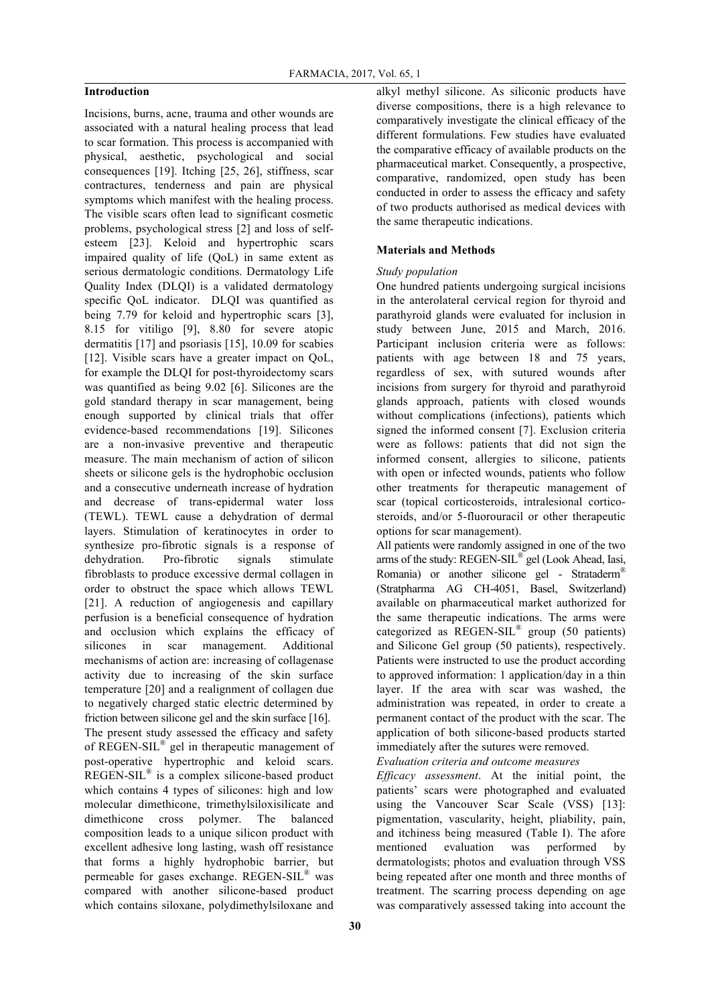# **Introduction**

Incisions, burns, acne, trauma and other wounds are associated with a natural healing process that lead to scar formation. This process is accompanied with physical, aesthetic, psychological and social consequences [19]. Itching [25, 26], stiffness, scar contractures, tenderness and pain are physical symptoms which manifest with the healing process. The visible scars often lead to significant cosmetic problems, psychological stress [2] and loss of selfesteem [23]. Keloid and hypertrophic scars impaired quality of life (QoL) in same extent as serious dermatologic conditions. Dermatology Life Quality Index (DLQI) is a validated dermatology specific QoL indicator. DLQI was quantified as being 7.79 for keloid and hypertrophic scars [3], 8.15 for vitiligo [9], 8.80 for severe atopic dermatitis [17] and psoriasis [15], 10.09 for scabies [12]. Visible scars have a greater impact on QoL, for example the DLQI for post-thyroidectomy scars was quantified as being 9.02 [6]. Silicones are the gold standard therapy in scar management, being enough supported by clinical trials that offer evidence-based recommendations [19]. Silicones are a non-invasive preventive and therapeutic measure. The main mechanism of action of silicon sheets or silicone gels is the hydrophobic occlusion and a consecutive underneath increase of hydration and decrease of trans-epidermal water loss (TEWL). TEWL cause a dehydration of dermal layers. Stimulation of keratinocytes in order to synthesize pro-fibrotic signals is a response of dehydration. Pro-fibrotic signals stimulate fibroblasts to produce excessive dermal collagen in order to obstruct the space which allows TEWL [21]. A reduction of angiogenesis and capillary perfusion is a beneficial consequence of hydration and occlusion which explains the efficacy of silicones in scar management. Additional mechanisms of action are: increasing of collagenase activity due to increasing of the skin surface temperature [20] and a realignment of collagen due to negatively charged static electric determined by friction between silicone gel and the skin surface [16]. The present study assessed the efficacy and safety of REGEN-SIL® gel in therapeutic management of post-operative hypertrophic and keloid scars. REGEN-SIL® is a complex silicone-based product which contains 4 types of silicones: high and low molecular dimethicone, trimethylsiloxisilicate and dimethicone cross polymer. The balanced composition leads to a unique silicon product with excellent adhesive long lasting, wash off resistance that forms a highly hydrophobic barrier, but permeable for gases exchange. REGEN-SIL® was compared with another silicone-based product which contains siloxane, polydimethylsiloxane and alkyl methyl silicone. As siliconic products have diverse compositions, there is a high relevance to comparatively investigate the clinical efficacy of the different formulations. Few studies have evaluated the comparative efficacy of available products on the pharmaceutical market. Consequently, a prospective, comparative, randomized, open study has been conducted in order to assess the efficacy and safety of two products authorised as medical devices with the same therapeutic indications.

# **Materials and Methods**

# *Study population*

One hundred patients undergoing surgical incisions in the anterolateral cervical region for thyroid and parathyroid glands were evaluated for inclusion in study between June, 2015 and March, 2016. Participant inclusion criteria were as follows: patients with age between 18 and 75 years, regardless of sex, with sutured wounds after incisions from surgery for thyroid and parathyroid glands approach, patients with closed wounds without complications (infections), patients which signed the informed consent [7]. Exclusion criteria were as follows: patients that did not sign the informed consent, allergies to silicone, patients with open or infected wounds, patients who follow other treatments for therapeutic management of scar (topical corticosteroids, intralesional corticosteroids, and/or 5-fluorouracil or other therapeutic options for scar management).

All patients were randomly assigned in one of the two arms of the study: REGEN-SIL® gel (Look Ahead, Iasi, Romania) or another silicone gel - Strataderm® (Stratpharma AG CH-4051, Basel, Switzerland) available on pharmaceutical market authorized for the same therapeutic indications. The arms were categorized as REGEN-SIL® group (50 patients) and Silicone Gel group (50 patients), respectively. Patients were instructed to use the product according to approved information: 1 application/day in a thin layer. If the area with scar was washed, the administration was repeated, in order to create a permanent contact of the product with the scar. The application of both silicone-based products started immediately after the sutures were removed.

*Evaluation criteria and outcome measures*

*Efficacy assessment*. At the initial point, the patients' scars were photographed and evaluated using the Vancouver Scar Scale (VSS) [13]: pigmentation, vascularity, height, pliability, pain, and itchiness being measured (Table I). The afore mentioned evaluation was performed by dermatologists; photos and evaluation through VSS being repeated after one month and three months of treatment. The scarring process depending on age was comparatively assessed taking into account the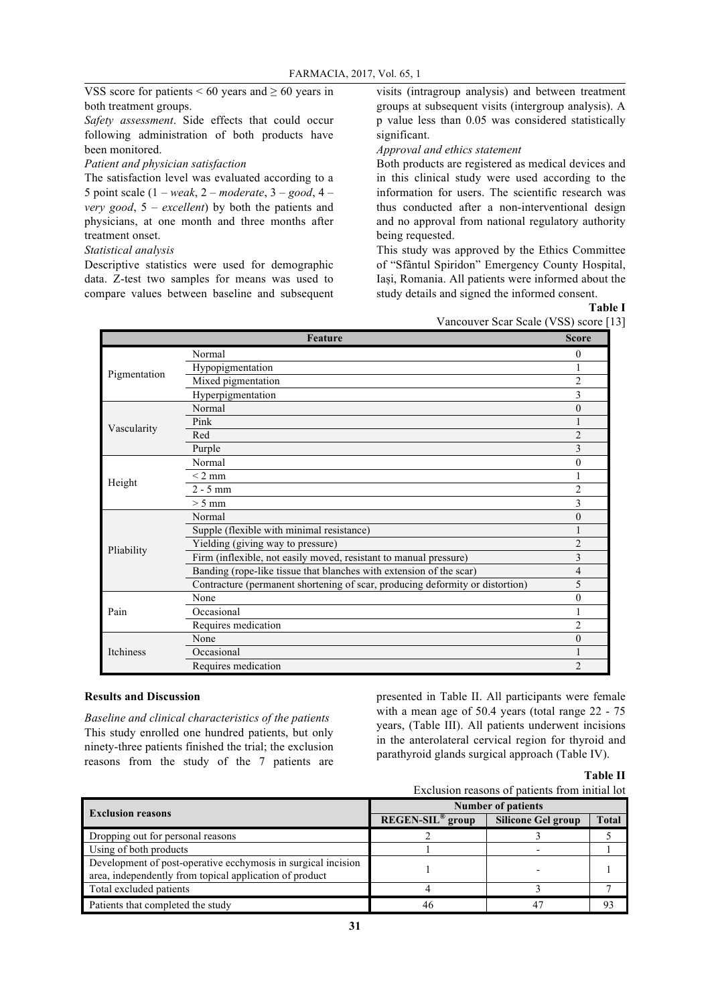VSS score for patients  $< 60$  years and  $\geq 60$  years in both treatment groups.

*Safety assessment*. Side effects that could occur following administration of both products have been monitored.

*Patient and physician satisfaction*

The satisfaction level was evaluated according to a 5 point scale (1 – *weak*, 2 – *moderate*, 3 – *good*, 4 – *very good*, 5 – *excellent*) by both the patients and physicians, at one month and three months after treatment onset.

## *Statistical analysis*

Descriptive statistics were used for demographic data. Z-test two samples for means was used to compare values between baseline and subsequent visits (intragroup analysis) and between treatment groups at subsequent visits (intergroup analysis). A p value less than 0.05 was considered statistically significant.

# *Approval and ethics statement*

Both products are registered as medical devices and in this clinical study were used according to the information for users. The scientific research was thus conducted after a non-interventional design and no approval from national regulatory authority being requested.

This study was approved by the Ethics Committee of "Sfântul Spiridon" Emergency County Hospital, Iași, Romania. All patients were informed about the study details and signed the informed consent.

**Table I**

| Vancouver Scar Scale (VSS) score [13] |  |  |  |
|---------------------------------------|--|--|--|
|                                       |  |  |  |
|                                       |  |  |  |

|              | <b>Feature</b>                                                                | <b>Score</b>   |
|--------------|-------------------------------------------------------------------------------|----------------|
|              | Normal                                                                        | 0              |
|              | Hypopigmentation                                                              |                |
| Pigmentation | Mixed pigmentation                                                            | $\overline{2}$ |
|              | Hyperpigmentation                                                             | 3              |
|              | Normal                                                                        | $\theta$       |
| Vascularity  | Pink                                                                          |                |
|              | Red                                                                           | $\overline{2}$ |
|              | Purple                                                                        | 3              |
|              | Normal                                                                        | $\mathbf{0}$   |
| Height       | $< 2$ mm                                                                      | 1              |
|              | $2 - 5$ mm                                                                    | $\overline{c}$ |
|              | $> 5$ mm                                                                      | 3              |
|              | Normal                                                                        | $\mathbf{0}$   |
|              | Supple (flexible with minimal resistance)                                     |                |
| Pliability   | Yielding (giving way to pressure)                                             | $\overline{2}$ |
|              | Firm (inflexible, not easily moved, resistant to manual pressure)             | 3              |
|              | Banding (rope-like tissue that blanches with extension of the scar)           | 4              |
|              | Contracture (permanent shortening of scar, producing deformity or distortion) | 5              |
|              | None                                                                          | $\mathbf{0}$   |
| Pain         | Occasional                                                                    |                |
|              | Requires medication                                                           | $\overline{2}$ |
|              | None                                                                          | $\theta$       |
| Itchiness    | Occasional                                                                    |                |
|              | Requires medication                                                           | $\overline{2}$ |
|              |                                                                               |                |

# **Results and Discussion**

*Baseline and clinical characteristics of the patients* This study enrolled one hundred patients, but only ninety-three patients finished the trial; the exclusion reasons from the study of the 7 patients are presented in Table II. All participants were female with a mean age of 50.4 years (total range 22 - 75 years, (Table III). All patients underwent incisions in the anterolateral cervical region for thyroid and parathyroid glands surgical approach (Table IV).

**Table II**

|                                                                                                                          |                    | Exclusion reasons of patients from initial lot |              |
|--------------------------------------------------------------------------------------------------------------------------|--------------------|------------------------------------------------|--------------|
|                                                                                                                          |                    | <b>Number of patients</b>                      |              |
| <b>Exclusion reasons</b>                                                                                                 | $REGEN-SIL®$ group | <b>Silicone Gel group</b>                      | <b>Total</b> |
| Dropping out for personal reasons                                                                                        |                    |                                                |              |
| Using of both products                                                                                                   |                    |                                                |              |
| Development of post-operative ecchymosis in surgical incision<br>area, independently from topical application of product |                    |                                                |              |
| Total excluded patients                                                                                                  |                    |                                                |              |
| Patients that completed the study                                                                                        | 46                 | 47                                             | 93           |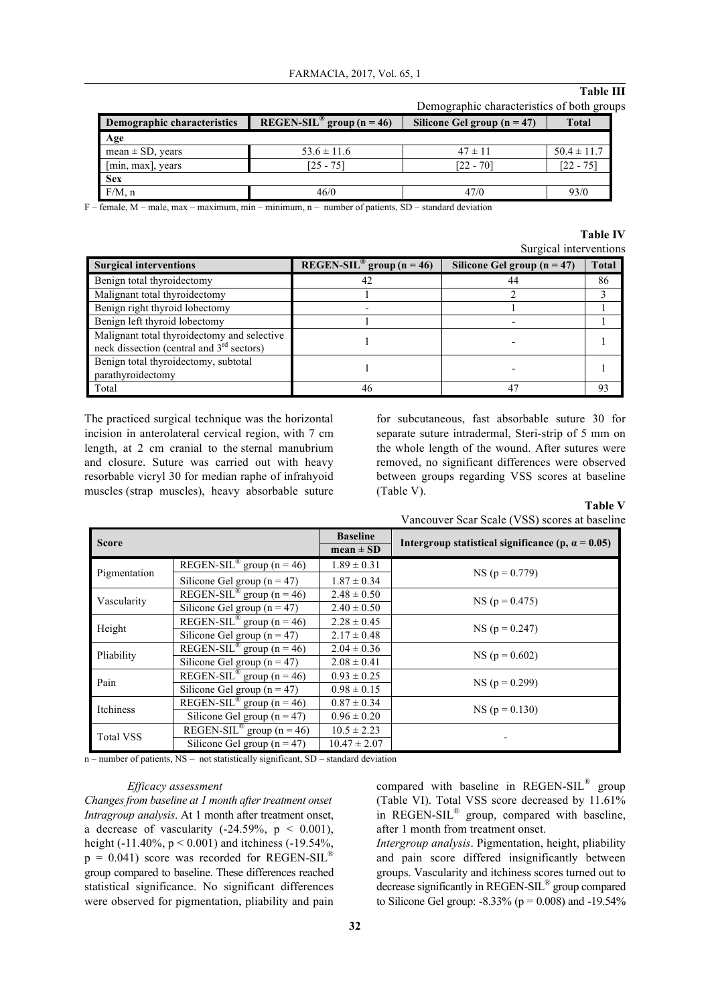# **Table III**

| Demographic characteristics of both groups |  |
|--------------------------------------------|--|
|                                            |  |

| Demographic characteristics | $REGEN-SIL^{\circled{\circ}}$ group (n = 46) | Silicone Gel group $(n = 47)$ | Total           |
|-----------------------------|----------------------------------------------|-------------------------------|-----------------|
| Age                         |                                              |                               |                 |
| mean $\pm$ SD, years        | $53.6 \pm 11.6$                              | $47 \pm 11$                   | $50.4 \pm 11.7$ |
| [min, max], years           | $[25 - 75]$                                  | $[22 - 70]$                   | $[22 - 75]$     |
| <b>Sex</b>                  |                                              |                               |                 |
| $F/M$ , n                   | 46/0                                         | 47/0                          | 93/0            |

 $F$  – female, M – male, max – maximum, min – minimum, n – number of patients, SD – standard deviation

# **Table IV**

| Surgical interventions |
|------------------------|
|                        |

| <b>Surgical interventions</b>                                                              | $REGEN-SIL^{\circledR}$ group (n = 46) | Silicone Gel group $(n = 47)$ | <b>Total</b> |
|--------------------------------------------------------------------------------------------|----------------------------------------|-------------------------------|--------------|
| Benign total thyroidectomy                                                                 | 42                                     | 44                            | 86           |
| Malignant total thyroidectomy                                                              |                                        |                               |              |
| Benign right thyroid lobectomy                                                             |                                        |                               |              |
| Benign left thyroid lobectomy                                                              |                                        |                               |              |
| Malignant total thyroidectomy and selective<br>neck dissection (central and $3rd$ sectors) |                                        |                               |              |
| Benign total thyroidectomy, subtotal<br>parathyroidectomy                                  |                                        |                               |              |
| Total                                                                                      | 46                                     |                               | 93           |

The practiced surgical technique was the horizontal incision in anterolateral cervical region, with 7 cm length, at 2 cm cranial to the sternal manubrium and closure. Suture was carried out with heavy resorbable vicryl 30 for median raphe of infrahyoid muscles (strap muscles), heavy absorbable suture

for subcutaneous, fast absorbable suture 30 for separate suture intradermal, Steri-strip of 5 mm on the whole length of the wound. After sutures were removed, no significant differences were observed between groups regarding VSS scores at baseline (Table V).

## **Table V**



| <b>Score</b>     |                                           | <b>Baseline</b>  |                                                           |
|------------------|-------------------------------------------|------------------|-----------------------------------------------------------|
|                  |                                           | $mean \pm SD$    | Intergroup statistical significance (p, $\alpha = 0.05$ ) |
|                  | REGEN-SIL <sup>®</sup> group ( $n = 46$ ) | $1.89 \pm 0.31$  |                                                           |
| Pigmentation     | Silicone Gel group ( $n = 47$ )           | $1.87 \pm 0.34$  | $NS (p = 0.779)$                                          |
| Vascularity      | REGEN-SIL <sup>®</sup> group ( $n = 46$ ) | $2.48 \pm 0.50$  | $NS (p = 0.475)$                                          |
|                  | Silicone Gel group ( $n = 47$ )           | $2.40 \pm 0.50$  |                                                           |
| Height           | REGEN-SIL <sup>®</sup> group (n = 46)     | $2.28 \pm 0.45$  |                                                           |
|                  | Silicone Gel group ( $n = 47$ )           | $2.17 \pm 0.48$  | $NS (p = 0.247)$                                          |
| Pliability       | REGEN-SIL <sup>®</sup> group ( $n = 46$ ) | $2.04 \pm 0.36$  | $NS (p = 0.602)$                                          |
|                  | Silicone Gel group $(n = 47)$             | $2.08 \pm 0.41$  |                                                           |
| Pain             | REGEN-SIL <sup>®</sup> group ( $n = 46$ ) | $0.93 \pm 0.25$  | $NS (p = 0.299)$                                          |
|                  | Silicone Gel group ( $n = 47$ )           | $0.98 \pm 0.15$  |                                                           |
| Itchiness        | REGEN-SIL <sup>®</sup> group ( $n = 46$ ) | $0.87 \pm 0.34$  | $NS (p = 0.130)$                                          |
|                  | Silicone Gel group $(n = 47)$             | $0.96 \pm 0.20$  |                                                           |
| <b>Total VSS</b> | REGEN-SIL <sup>®</sup> group ( $n = 46$ ) | $10.5 \pm 2.23$  |                                                           |
|                  | Silicone Gel group $(n = 47)$             | $10.47 \pm 2.07$ |                                                           |

n – number of patients, NS – not statistically significant, SD – standard deviation

## *Efficacy assessment*

*Changes from baseline at 1 month after treatment onset Intragroup analysis*. At 1 month after treatment onset, a decrease of vascularity  $(-24.59\% \text{ p} < 0.001)$ , height (-11.40%,  $p < 0.001$ ) and itchiness (-19.54%,  $p = 0.041$ ) score was recorded for REGEN-SIL<sup>®</sup> group compared to baseline. These differences reached statistical significance. No significant differences were observed for pigmentation, pliability and pain compared with baseline in REGEN-SIL® group (Table VI). Total VSS score decreased by 11.61% in REGEN-SIL® group, compared with baseline, after 1 month from treatment onset.

*Intergroup analysis*. Pigmentation, height, pliability and pain score differed insignificantly between groups. Vascularity and itchiness scores turned out to decrease significantly in REGEN-SIL® group compared to Silicone Gel group:  $-8.33\%$  (p = 0.008) and  $-19.54\%$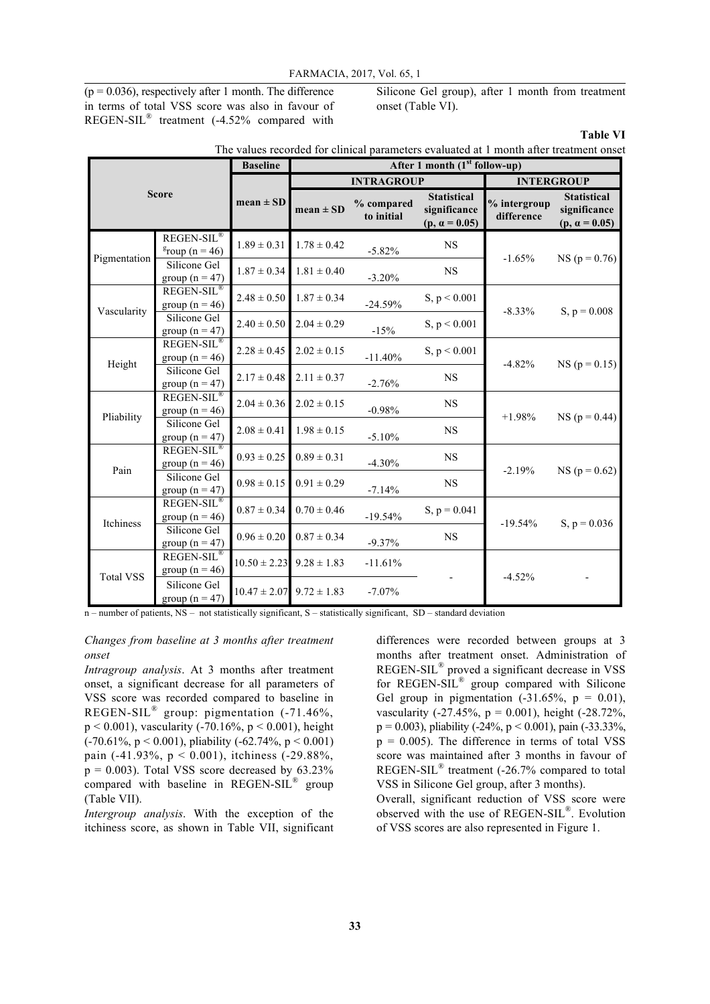$(p = 0.036)$ , respectively after 1 month. The difference in terms of total VSS score was also in favour of REGEN-SIL® treatment (-4.52% compared with

Silicone Gel group), after 1 month from treatment onset (Table VI).

**Table VI**

| The values recorded for clinical parameters evaluated at 1 month after treatment onset |                                                       |                                  |                 |                          |                                                            |                            |                                                            |  |
|----------------------------------------------------------------------------------------|-------------------------------------------------------|----------------------------------|-----------------|--------------------------|------------------------------------------------------------|----------------------------|------------------------------------------------------------|--|
|                                                                                        |                                                       | <b>Baseline</b>                  |                 |                          | After 1 month (1 <sup>st</sup> follow-up)                  |                            |                                                            |  |
|                                                                                        |                                                       |                                  |                 | <b>INTRAGROUP</b>        |                                                            |                            | <b>INTERGROUP</b>                                          |  |
| <b>Score</b>                                                                           |                                                       | $mean \pm SD$                    | $mean \pm SD$   | % compared<br>to initial | <b>Statistical</b><br>significance<br>$(p, \alpha = 0.05)$ | % intergroup<br>difference | <b>Statistical</b><br>significance<br>$(p, \alpha = 0.05)$ |  |
| Pigmentation                                                                           | REGEN-SIL <sup>®</sup><br>$\frac{g}{g}$ roup (n = 46) | $1.89 \pm 0.31$                  | $1.78 \pm 0.42$ | $-5.82%$                 | <b>NS</b>                                                  | $-1.65%$                   | $NS (p = 0.76)$                                            |  |
|                                                                                        | Silicone Gel<br>group ( $n = 47$ )                    | $1.87 \pm 0.34$                  | $1.81 \pm 0.40$ | $-3.20%$                 | <b>NS</b>                                                  |                            |                                                            |  |
| Vascularity                                                                            | <b>REGEN-SIL®</b><br>group ( $n = 46$ )               | $2.48 \pm 0.50$                  | $1.87 \pm 0.34$ | $-24.59%$                | S, p < 0.001                                               | $-8.33\%$                  | S, $p = 0.008$                                             |  |
|                                                                                        | Silicone Gel<br>group ( $n = 47$ )                    | $2.40 \pm 0.50$                  | $2.04 \pm 0.29$ | $-15%$                   | S, $p < 0.001$                                             |                            |                                                            |  |
| Height                                                                                 | REGEN-SIL®<br>group ( $n = 46$ )                      | $2.28 \pm 0.45$                  | $2.02 \pm 0.15$ | $-11.40%$                | S, $p < 0.001$                                             | $-4.82%$                   | $NS (p = 0.15)$                                            |  |
|                                                                                        | Silicone Gel<br>group ( $n = 47$ )                    | $2.17 \pm 0.48$                  | $2.11 \pm 0.37$ | $-2.76%$                 | <b>NS</b>                                                  |                            |                                                            |  |
| Pliability                                                                             | REGEN-SIL <sup>®</sup><br>group ( $n = 46$ )          | $2.04 \pm 0.36$                  | $2.02 \pm 0.15$ | $-0.98%$                 | <b>NS</b>                                                  | $+1.98%$                   | $NS (p = 0.44)$                                            |  |
|                                                                                        | Silicone Gel<br>group ( $n = 47$ )                    | $2.08 \pm 0.41$                  | $1.98 \pm 0.15$ | $-5.10%$                 | <b>NS</b>                                                  |                            |                                                            |  |
| Pain                                                                                   | REGEN-SIL®<br>group ( $n = 46$ )                      | $0.93 \pm 0.25$                  | $0.89 \pm 0.31$ | $-4.30%$                 | NS                                                         | $-2.19%$                   | $NS (p = 0.62)$                                            |  |
|                                                                                        | Silicone Gel<br>group ( $n = 47$ )                    | $0.98 \pm 0.15$                  | $0.91 \pm 0.29$ | $-7.14%$                 | <b>NS</b>                                                  |                            |                                                            |  |
| Itchiness                                                                              | REGEN-SIL®<br>group ( $n = 46$ )                      | $0.87 \pm 0.34$                  | $0.70 \pm 0.46$ | $-19.54%$                | $S, p = 0.041$                                             | $-19.54%$                  | S, $p = 0.036$                                             |  |
|                                                                                        | Silicone Gel<br>group ( $n = 47$ )                    | $0.96 \pm 0.20$                  | $0.87 \pm 0.34$ | $-9.37%$                 | <b>NS</b>                                                  |                            |                                                            |  |
| <b>Total VSS</b>                                                                       | $REGEN-SIL^{\circledR}$<br>group ( $n = 46$ )         | $10.50 \pm 2.23$                 | $9.28 \pm 1.83$ | $-11.61%$                |                                                            | $-4.52%$                   |                                                            |  |
|                                                                                        | Silicone Gel<br>group $(n = 47)$                      | $10.47 \pm 2.07$ 9.72 $\pm$ 1.83 |                 | $-7.07\%$                |                                                            |                            |                                                            |  |

n – number of patients, NS – not statistically significant, S – statistically significant, SD – standard deviation

#### *Changes from baseline at 3 months after treatment onset*

*Intragroup analysis*. At 3 months after treatment onset, a significant decrease for all parameters of VSS score was recorded compared to baseline in REGEN-SIL® group: pigmentation (-71.46%,  $p < 0.001$ ), vascularity (-70.16%,  $p < 0.001$ ), height  $(-70.61\%, p < 0.001)$ , pliability  $(-62.74\%, p < 0.001)$ pain (-41.93%, p < 0.001), itchiness (-29.88%,  $p = 0.003$ ). Total VSS score decreased by 63.23% compared with baseline in REGEN-SIL® group (Table VII).

*Intergroup analysis*. With the exception of the itchiness score, as shown in Table VII, significant

differences were recorded between groups at 3 months after treatment onset. Administration of REGEN-SIL® proved a significant decrease in VSS for REGEN-SIL® group compared with Silicone Gel group in pigmentation  $(-31.65\% , p = 0.01)$ , vascularity  $(-27.45\%, p = 0.001)$ , height  $(-28.72\%$ ,  $p = 0.003$ ), pliability (-24%,  $p < 0.001$ ), pain (-33.33%,  $p = 0.005$ ). The difference in terms of total VSS score was maintained after 3 months in favour of REGEN-SIL® treatment (-26.7% compared to total VSS in Silicone Gel group, after 3 months).

Overall, significant reduction of VSS score were observed with the use of REGEN-SIL®. Evolution of VSS scores are also represented in Figure 1.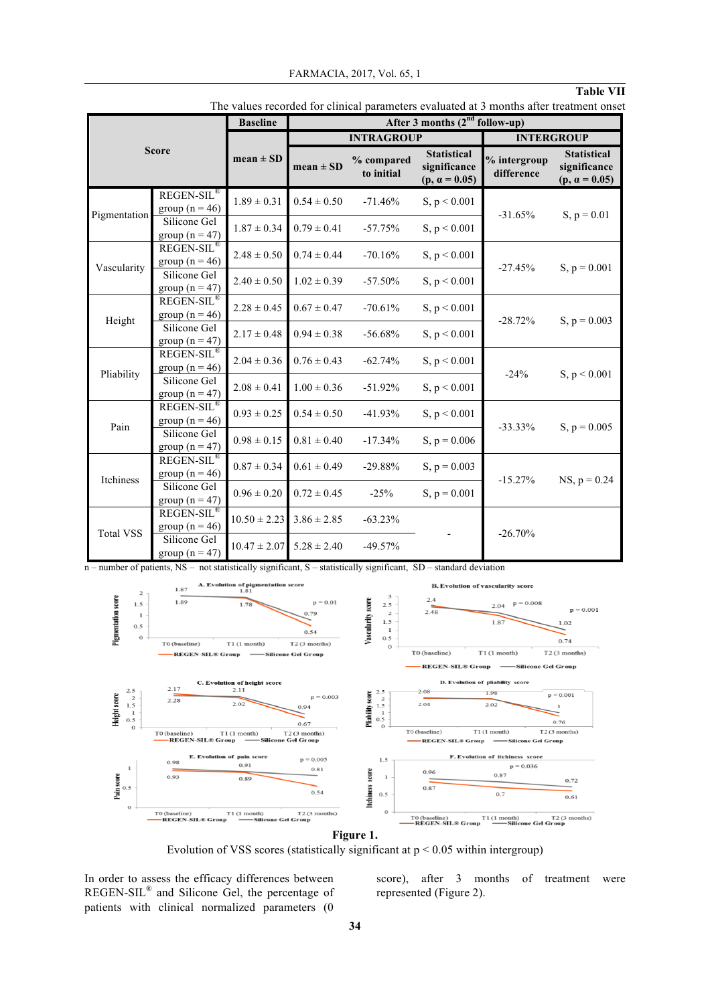## **Table VII**

|                  |                                              | <b>Baseline</b>  | After 3 months $(2nd$ follow-up) |                          |                                                            |                            |                                                            |
|------------------|----------------------------------------------|------------------|----------------------------------|--------------------------|------------------------------------------------------------|----------------------------|------------------------------------------------------------|
|                  |                                              |                  | <b>INTRAGROUP</b>                |                          |                                                            | <b>INTERGROUP</b>          |                                                            |
| <b>Score</b>     |                                              | $mean \pm SD$    | $mean \pm SD$                    | % compared<br>to initial | <b>Statistical</b><br>significance<br>$(p, \alpha = 0.05)$ | % intergroup<br>difference | <b>Statistical</b><br>significance<br>$(p, \alpha = 0.05)$ |
| Pigmentation     | <b>REGEN-SIL®</b><br>group ( $n = 46$ )      | $1.89 \pm 0.31$  | $0.54 \pm 0.50$                  | $-71.46%$                | S, p < 0.001                                               | $-31.65%$                  | $S, p = 0.01$                                              |
|                  | Silicone Gel<br>group ( $n = 47$ )           | $1.87 \pm 0.34$  | $0.79 \pm 0.41$                  | $-57.75%$                | S, $p < 0.001$                                             |                            |                                                            |
| Vascularity      | REGEN-SIL®<br>group ( $n = 46$ )             | $2.48 \pm 0.50$  | $0.74 \pm 0.44$                  | $-70.16%$                | S, p < 0.001                                               | $-27.45%$                  | $S, p = 0.001$                                             |
|                  | Silicone Gel<br>group ( $n = 47$ )           | $2.40 \pm 0.50$  | $1.02 \pm 0.39$                  | $-57.50%$                | S, p < 0.001                                               |                            |                                                            |
| Height           | REGEN-SIL <sup>®</sup><br>group ( $n = 46$ ) | $2.28 \pm 0.45$  | $0.67 \pm 0.47$                  | $-70.61%$                | S, p < 0.001                                               | $-28.72%$                  | S, $p = 0.003$                                             |
|                  | Silicone Gel<br>group ( $n = 47$ )           | $2.17 \pm 0.48$  | $0.94 \pm 0.38$                  | $-56.68%$                | S, $p < 0.001$                                             |                            |                                                            |
| Pliability       | REGEN-SIL®<br>group ( $n = 46$ )             | $2.04 \pm 0.36$  | $0.76 \pm 0.43$                  | $-62.74%$                | S, $p < 0.001$                                             | $-24%$                     | S, $p < 0.001$                                             |
|                  | Silicone Gel<br>group ( $n = 47$ )           | $2.08 \pm 0.41$  | $1.00 \pm 0.36$                  | $-51.92%$                | S, $p < 0.001$                                             |                            |                                                            |
| Pain             | <b>REGEN-SIL®</b><br>group ( $n = 46$ )      | $0.93 \pm 0.25$  | $0.54 \pm 0.50$                  | $-41.93%$                | S, $p < 0.001$                                             | $-33.33\%$                 | S, $p = 0.005$                                             |
|                  | Silicone Gel<br>group ( $n = 47$ )           | $0.98 \pm 0.15$  | $0.81 \pm 0.40$                  | $-17.34%$                | S, $p = 0.006$                                             |                            |                                                            |
| Itchiness        | REGEN-SIL®<br>group ( $n = 46$ )             | $0.87 \pm 0.34$  | $0.61 \pm 0.49$                  | $-29.88%$                | S, $p = 0.003$                                             | $-15.27%$                  | $NS, p = 0.24$                                             |
|                  | Silicone Gel<br>group ( $n = 47$ )           | $0.96 \pm 0.20$  | $0.72 \pm 0.45$                  | $-25%$                   | $S, p = 0.001$                                             |                            |                                                            |
| <b>Total VSS</b> | <b>REGEN-SIL®</b><br>group ( $n = 46$ )      | $10.50 \pm 2.23$ | $3.86 \pm 2.85$                  | $-63.23%$                |                                                            | $-26.70%$                  |                                                            |
|                  | Silicone Gel<br>group ( $n = 47$ )           | $10.47 \pm 2.07$ | $5.28 \pm 2.40$                  | $-49.57%$                |                                                            |                            |                                                            |

The values recorded for clinical parameters evaluated at 3 months after treatment onset

n – number of patients, NS – not statistically significant, S – statistically significant, SD – standard deviation



Evolution of VSS scores (statistically significant at  $p < 0.05$  within intergroup)

In order to assess the efficacy differences between REGEN-SIL® and Silicone Gel, the percentage of patients with clinical normalized parameters (0

score), after 3 months of treatment were represented (Figure 2).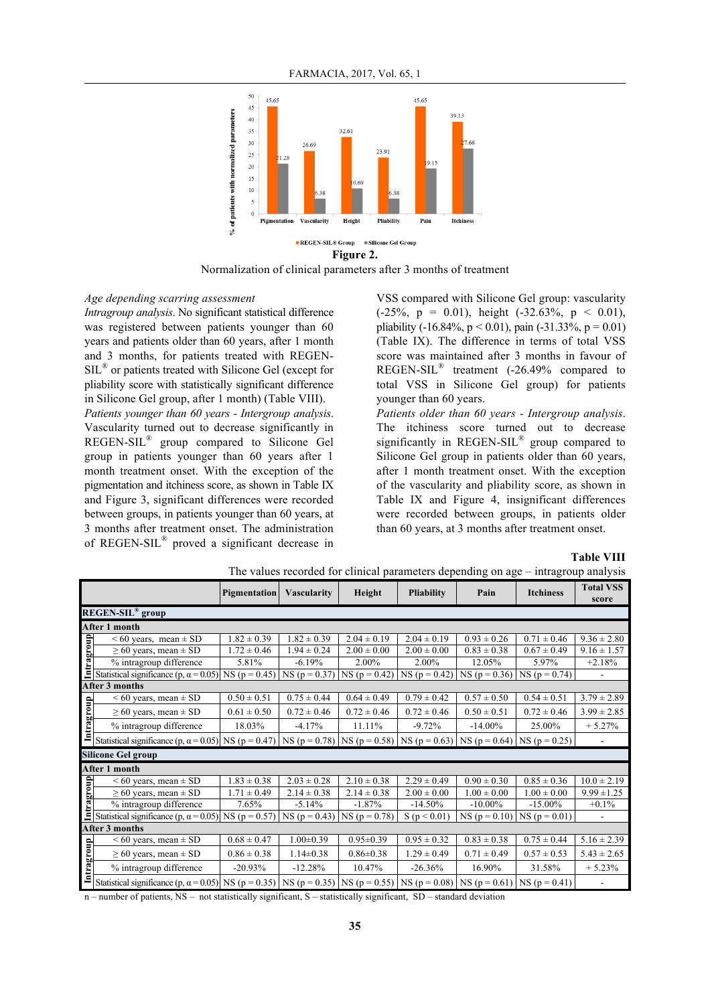

Normalization of clinical parameters after 3 months of treatment

#### *Age depending scarring assessment*

*Intragroup analysis*. No significant statistical difference was registered between patients younger than 60 years and patients older than 60 years, after 1 month and 3 months, for patients treated with REGEN-SIL® or patients treated with Silicone Gel (except for pliability score with statistically significant difference in Silicone Gel group, after 1 month) (Table VIII).

*Patients younger than 60 years - Intergroup analysis*. Vascularity turned out to decrease significantly in REGEN-SIL® group compared to Silicone Gel group in patients younger than 60 years after 1 month treatment onset. With the exception of the pigmentation and itchiness score, as shown in Table IX and Figure 3, significant differences were recorded between groups, in patients younger than 60 years, at 3 months after treatment onset. The administration of REGEN-SIL® proved a significant decrease in VSS compared with Silicone Gel group: vascularity  $(-25\%, p = 0.01)$ , height  $(-32.63\%, p < 0.01)$ , pliability (-16.84%,  $p < 0.01$ ), pain (-31.33%,  $p = 0.01$ ) (Table IX). The difference in terms of total VSS score was maintained after 3 months in favour of REGEN-SIL® treatment (-26.49% compared to total VSS in Silicone Gel group) for patients younger than 60 years.

*Patients older than 60 years - Intergroup analysis*. The itchiness score turned out to decrease significantly in REGEN-SIL® group compared to Silicone Gel group in patients older than 60 years, after 1 month treatment onset. With the exception of the vascularity and pliability score, as shown in Table IX and Figure 4, insignificant differences were recorded between groups, in patients older than 60 years, at 3 months after treatment onset.

**Table VIII**

|            |                                                                                                                                   | Pigmentation    | <b>Vascularity</b> | Height          | <b>Pliability</b> | Pain            | <b>Itchiness</b>                    | <b>Total VSS</b><br>score |
|------------|-----------------------------------------------------------------------------------------------------------------------------------|-----------------|--------------------|-----------------|-------------------|-----------------|-------------------------------------|---------------------------|
|            | <b>REGEN-SIL<sup>®</sup></b> group                                                                                                |                 |                    |                 |                   |                 |                                     |                           |
|            | After 1 month                                                                                                                     |                 |                    |                 |                   |                 |                                     |                           |
|            | $< 60$ years, mean $\pm$ SD                                                                                                       | $1.82 \pm 0.39$ | $1.82 \pm 0.39$    | $2.04 \pm 0.19$ | $2.04 \pm 0.19$   | $0.93 \pm 0.26$ | $0.71 \pm 0.46$                     | $9.36 \pm 2.80$           |
|            | $\geq$ 60 years, mean $\pm$ SD                                                                                                    | $1.72 \pm 0.46$ | $1.94 \pm 0.24$    | $2.00 \pm 0.00$ | $2.00 \pm 0.00$   | $0.83 \pm 0.38$ | $0.67 \pm 0.49$                     | $9.16 \pm 1.57$           |
| Intragroup | % intragroup difference                                                                                                           | 5.81%           | $-6.19%$           | 2.00%           | 2.00%             | 12.05%          | 5.97%                               | $+2.18%$                  |
|            | Statistical significance (p, $\alpha$ = 0.05)                                                                                     | $NS (p = 0.45)$ | $NS (p = 0.37)$    | $NS (p = 0.42)$ | $NS (p = 0.42)$   | $NS (p = 0.36)$ | $NS (p = 0.74)$                     | $\overline{\phantom{0}}$  |
|            | After 3 months                                                                                                                    |                 |                    |                 |                   |                 |                                     |                           |
|            | $< 60$ years, mean $\pm$ SD                                                                                                       | $0.50 \pm 0.51$ | $0.75 \pm 0.44$    | $0.64 \pm 0.49$ | $0.79 \pm 0.42$   | $0.57 \pm 0.50$ | $0.54 \pm 0.51$                     | $3.79 \pm 2.89$           |
| Intragroup | $\geq$ 60 years, mean $\pm$ SD                                                                                                    | $0.61 \pm 0.50$ | $0.72 \pm 0.46$    | $0.72 \pm 0.46$ | $0.72 \pm 0.46$   | $0.50 \pm 0.51$ | $0.72 \pm 0.46$                     | $3.99 \pm 2.85$           |
|            | % intragroup difference                                                                                                           | 18.03%          | $-4.17%$           | 11.11%          | $-9.72%$          | $-14.00\%$      | 25.00%                              | $+5.27%$                  |
|            | Statistical significance (p, $\alpha$ = 0.05) NS (p = 0.47) NS (p = 0.78) NS (p = 0.58) NS (p = 0.63) NS (p = 0.64) NS (p = 0.25) |                 |                    |                 |                   |                 |                                     |                           |
|            | <b>Silicone Gel group</b>                                                                                                         |                 |                    |                 |                   |                 |                                     |                           |
|            | After 1 month                                                                                                                     |                 |                    |                 |                   |                 |                                     |                           |
|            | $< 60$ years, mean $\pm$ SD                                                                                                       | $1.83 \pm 0.38$ | $2.03 \pm 0.28$    | $2.10 \pm 0.38$ | $2.29 \pm 0.49$   | $0.90 \pm 0.30$ | $0.85 \pm 0.36$                     | $10.0 \pm 2.19$           |
|            | $\geq$ 60 years, mean $\pm$ SD                                                                                                    | $1.71 \pm 0.49$ | $2.14 \pm 0.38$    | $2.14 \pm 0.38$ | $2.00 \pm 0.00$   | $1.00 \pm 0.00$ | $1.00 \pm 0.00$                     | $9.99 \pm 1.25$           |
| Intragroup | % intragroup difference                                                                                                           | 7.65%           | $-5.14%$           | $-1.87%$        | $-14.50%$         | $-10.00\%$      | $-15.00\%$                          | $+0.1\%$                  |
|            | Statistical significance (p, $\alpha$ = 0.05)                                                                                     | $NS (p = 0.57)$ | $NS (p = 0.43)$    | $NS (p = 0.78)$ | S(p < 0.01)       |                 | NS ( $p = 0.10$ ) NS ( $p = 0.01$ ) |                           |
|            | After 3 months                                                                                                                    |                 |                    |                 |                   |                 |                                     |                           |
|            | $< 60$ years, mean $\pm$ SD                                                                                                       | $0.68 \pm 0.47$ | $1.00 \pm 0.39$    | $0.95 \pm 0.39$ | $0.95 \pm 0.32$   | $0.83 \pm 0.38$ | $0.75 \pm 0.44$                     | $5.16 \pm 2.39$           |
|            | $\geq 60$ years, mean $\pm$ SD                                                                                                    | $0.86 \pm 0.38$ | $1.14 \pm 0.38$    | $0.86 \pm 0.38$ | $1.29 \pm 0.49$   | $0.71 \pm 0.49$ | $0.57 \pm 0.53$                     | $5.43 \pm 2.65$           |
| Intragroup | % intragroup difference                                                                                                           | $-20.93%$       | $-12.28%$          | 10.47%          | $-26.36%$         | 16.90%          | 31.58%                              | $+5.23%$                  |
|            | Statistical significance (p, $\alpha$ = 0.05)   NS (p = 0.35)                                                                     |                 | $NS (p = 0.35)$    | $NS (p = 0.55)$ | $NS (p = 0.08)$   | $NS (p = 0.61)$ | $NS (p = 0.41)$                     |                           |

| The values recorded for clinical parameters depending on age – intragroup analysis |  |  |
|------------------------------------------------------------------------------------|--|--|
|                                                                                    |  |  |
|                                                                                    |  |  |
|                                                                                    |  |  |

n – number of patients, NS – not statistically significant, S – statistically significant, SD – standard deviation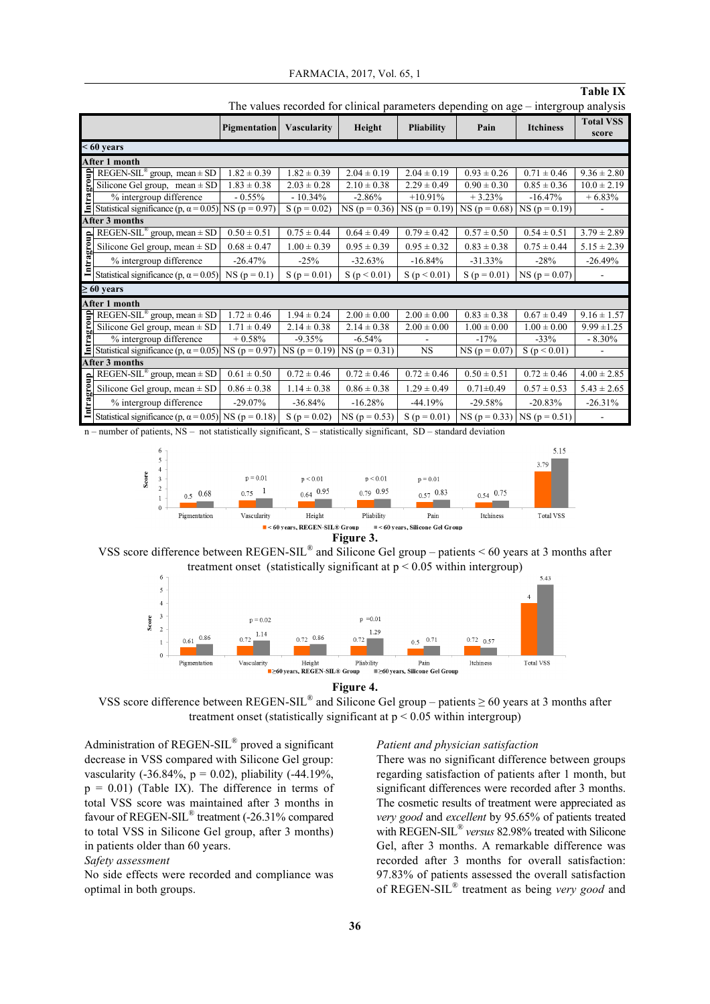| FARMACIA, 2017, Vol. 65, 1 |  |  |  |  |
|----------------------------|--|--|--|--|
|----------------------------|--|--|--|--|

### **Table IX**

| <b>Pigmentation</b> |                                                                                                                                                                                                    | Height<br><b>Vascularity</b> |                  | <b>Pliability</b>                   | Pain            | <b>Itchiness</b> | <b>Total VSS</b><br>score           |                 |
|---------------------|----------------------------------------------------------------------------------------------------------------------------------------------------------------------------------------------------|------------------------------|------------------|-------------------------------------|-----------------|------------------|-------------------------------------|-----------------|
| $< 60$ years        |                                                                                                                                                                                                    |                              |                  |                                     |                 |                  |                                     |                 |
| After 1 month       |                                                                                                                                                                                                    |                              |                  |                                     |                 |                  |                                     |                 |
|                     | Element SEC and Section 1.82 ± 0.39<br>Silicone Gel group, mean ± SD 1.82 ± 0.39<br>% intergroup difference<br>Statistical significance (p, $\alpha$ = 0.05) NS (p = 0.97)                         |                              | $1.82 \pm 0.39$  | $2.04 \pm 0.19$                     | $2.04 \pm 0.19$ | $0.93 \pm 0.26$  | $0.71 \pm 0.46$                     | $9.36 \pm 2.80$ |
|                     |                                                                                                                                                                                                    |                              | $2.03 \pm 0.28$  | $2.10 \pm 0.38$                     | $2.29 \pm 0.49$ | $0.90 \pm 0.30$  | $0.85 \pm 0.36$                     | $10.0 \pm 2.19$ |
|                     |                                                                                                                                                                                                    |                              | $-10.34\%$       | $-2.86%$                            | $+10.91\%$      | $+3.23%$         | $-16.47%$                           | $+6.83%$        |
|                     |                                                                                                                                                                                                    |                              | S ( $p = 0.02$ ) | $NS (p = 0.36)$                     | $NS (p = 0.19)$ | $NS (p = 0.68)$  | $NS (p = 0.19)$                     |                 |
|                     | After 3 months                                                                                                                                                                                     |                              |                  |                                     |                 |                  |                                     |                 |
|                     | REGEN-SIL <sup>®</sup> group, mean $\pm$ SD                                                                                                                                                        | $0.50 \pm 0.51$              | $0.75 \pm 0.44$  | $0.64 \pm 0.49$                     | $0.79 \pm 0.42$ | $0.57 \pm 0.50$  | $0.54 \pm 0.51$                     | $3.79 \pm 2.89$ |
| Intragroup          | Silicone Gel group, mean $\pm$ SD                                                                                                                                                                  | $0.68 \pm 0.47$              | $1.00 \pm 0.39$  | $0.95 \pm 0.39$                     | $0.95 \pm 0.32$ | $0.83 \pm 0.38$  | $0.75 \pm 0.44$                     | $5.15 \pm 2.39$ |
|                     | % intergroup difference                                                                                                                                                                            | $-26.47%$                    | $-25%$           | $-32.63%$                           | $-16.84%$       | $-31.33%$        | $-28%$                              | $-26.49%$       |
|                     | Statistical significance (p, $\alpha$ = 0.05)                                                                                                                                                      | $NS (p = 0.1)$               | $S(p = 0.01)$    | S(p < 0.01)                         | S(p < 0.01)     | $S(p = 0.01)$    | $NS (p = 0.07)$                     |                 |
| $\geq 60$ years     |                                                                                                                                                                                                    |                              |                  |                                     |                 |                  |                                     |                 |
|                     | After 1 month                                                                                                                                                                                      |                              |                  |                                     |                 |                  |                                     |                 |
|                     | REGEN-SIL <sup>®</sup> group, mean ± SD 1.72 ± 0.46<br>Silicone Gel group, mean ± SD 1.71 ± 0.49<br>% intergroup difference + 0.58%<br>Statistical significance (p, $\alpha$ = 0.05) NS (p = 0.97) |                              | $1.94 \pm 0.24$  | $2.00 \pm 0.00$                     | $2.00 \pm 0.00$ | $0.83 \pm 0.38$  | $0.67 \pm 0.49$                     | $9.16 \pm 1.57$ |
|                     |                                                                                                                                                                                                    |                              | $2.14 \pm 0.38$  | $2.14 \pm 0.38$                     | $2.00 \pm 0.00$ | $1.00 \pm 0.00$  | $1.00 \pm 0.00$                     | $9.99 \pm 1.25$ |
|                     |                                                                                                                                                                                                    |                              | $-9.35%$         | $-6.54%$                            |                 | $-17%$           | $-33%$                              | $-8.30\%$       |
|                     |                                                                                                                                                                                                    |                              |                  | NS ( $p = 0.19$ ) NS ( $p = 0.31$ ) | NS.             | $NS (p = 0.07)$  | S(p < 0.01)                         |                 |
| After 3 months      |                                                                                                                                                                                                    |                              |                  |                                     |                 |                  |                                     |                 |
|                     | REGEN-SIL <sup>®</sup> group, mean $\pm$ SD                                                                                                                                                        | $0.61 \pm 0.50$              | $0.72 \pm 0.46$  | $0.72 \pm 0.46$                     | $0.72 \pm 0.46$ | $0.50 \pm 0.51$  | $0.72 \pm 0.46$                     | $4.00 \pm 2.85$ |
| Intragroup          | Silicone Gel group, mean $\pm$ SD                                                                                                                                                                  | $0.86 \pm 0.38$              | $1.14 \pm 0.38$  | $0.86 \pm 0.38$                     | $1.29 \pm 0.49$ | $0.71 \pm 0.49$  | $0.57 \pm 0.53$                     | $5.43 \pm 2.65$ |
|                     | % intergroup difference                                                                                                                                                                            | $-29.07\%$                   | $-36.84%$        | $-16.28%$                           | $-44.19%$       | $-29.58%$        | $-20.83%$                           | $-26.31%$       |
|                     | Statistical significance (p, $\alpha$ = 0.05) NS (p = 0.18)                                                                                                                                        |                              | $S(p = 0.02)$    | $NS (p = 0.53)$                     | $S(p = 0.01)$   |                  | NS ( $p = 0.33$ ) NS ( $p = 0.51$ ) |                 |

The values recorded for clinical parameters depending on age – intergroup analysis

n – number of patients, NS – not statistically significant, S – statistically significant, SD – standard deviation



**Figure 3.**







VSS score difference between REGEN-SIL<sup>®</sup> and Silicone Gel group – patients  $\geq 60$  years at 3 months after treatment onset (statistically significant at  $p < 0.05$  within intergroup)

Administration of REGEN-SIL® proved a significant decrease in VSS compared with Silicone Gel group: vascularity (-36.84%,  $p = 0.02$ ), pliability (-44.19%,  $p = 0.01$ ) (Table IX). The difference in terms of total VSS score was maintained after 3 months in favour of REGEN-SIL® treatment (-26.31% compared to total VSS in Silicone Gel group, after 3 months) in patients older than 60 years.

#### *Safety assessment*

No side effects were recorded and compliance was optimal in both groups.

#### *Patient and physician satisfaction*

There was no significant difference between groups regarding satisfaction of patients after 1 month, but significant differences were recorded after 3 months. The cosmetic results of treatment were appreciated as *very good* and *excellent* by 95.65% of patients treated with REGEN-SIL® *versus* 82.98% treated with Silicone Gel, after 3 months. A remarkable difference was recorded after 3 months for overall satisfaction: 97.83% of patients assessed the overall satisfaction of REGEN-SIL® treatment as being *very good* and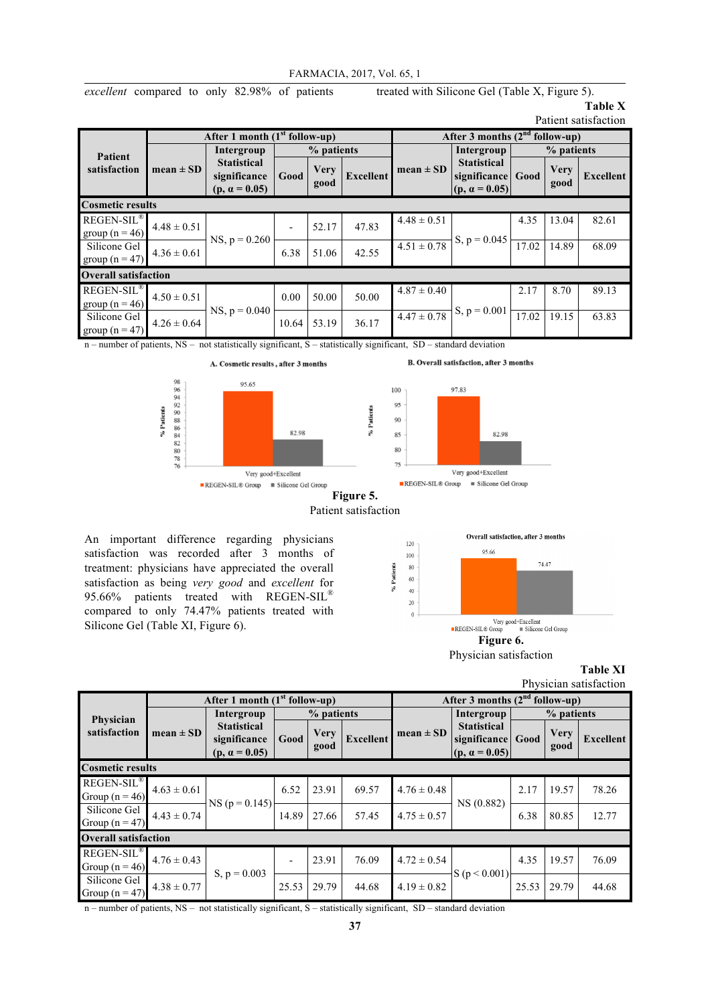*excellent* compared to only 82.98% of patients treated with Silicone Gel (Table X, Figure 5).

#### **Table X** Patient satisfaction

|                                              | After 1 month $(1st$ follow-up) |                                                            |            |                     | After 3 months $(2^{nd}$ follow-up) |                            |                                                                 |       |                     |           |
|----------------------------------------------|---------------------------------|------------------------------------------------------------|------------|---------------------|-------------------------------------|----------------------------|-----------------------------------------------------------------|-------|---------------------|-----------|
| <b>Patient</b><br>satisfaction               |                                 | Intergroup                                                 | % patients |                     |                                     | Intergroup                 | % patients                                                      |       |                     |           |
|                                              | $mean \pm SD$                   | <b>Statistical</b><br>significance<br>$(p, \alpha = 0.05)$ | Good       | <b>Very</b><br>good | <b>Excellent</b>                    | $mean \pm SD$              | <b>Statistical</b><br>significance Good<br>$(p, \alpha = 0.05)$ |       | <b>Very</b><br>good | Excellent |
| <b>Cosmetic results</b>                      |                                 |                                                            |            |                     |                                     |                            |                                                                 |       |                     |           |
| REGEN-SIL <sup>®</sup><br>group ( $n = 46$ ) | $4.48 \pm 0.51$                 |                                                            |            | 52.17               | 47.83                               | $4.48 \pm 0.51$            | $S, p = 0.045$                                                  | 4.35  | 13.04               | 82.61     |
| Silicone Gel<br>group ( $n = 47$ )           | $4.36 \pm 0.61$                 | $NS, p = 0.260$                                            | 6.38       | 51.06               | 42.55                               | $\overline{4.51 \pm 0.78}$ |                                                                 | 17.02 | 14.89               | 68.09     |
|                                              | <b>Overall satisfaction</b>     |                                                            |            |                     |                                     |                            |                                                                 |       |                     |           |
| REGEN-SIL <sup>®</sup><br>group ( $n = 46$ ) | $4.50 \pm 0.51$                 |                                                            | 0.00       | 50.00               | 50.00                               | $4.87 \pm 0.40$            |                                                                 | 2.17  | 8.70                | 89.13     |
| Silicone Gel<br>group $(n = 47)$             | $4.26 \pm 0.64$                 | $NS, p = 0.040$                                            | 10.64      | 53.19               | 36.17                               | $4.47 \pm 0.78$            | $S, p = 0.001$                                                  | 17.02 | 19.15               | 63.83     |

n – number of patients, NS – not statistically significant, S – statistically significant, SD – standard deviation



% Patients

An important difference regarding physicians satisfaction was recorded after 3 months of treatment: physicians have appreciated the overall satisfaction as being *very good* and *excellent* for 95.66% patients treated with REGEN-SIL® compared to only 74.47% patients treated with Silicone Gel (Table XI, Figure 6).



Physician satisfaction

**Table XI** Physician satisfaction

|                                              | After 1 month $(1st$ follow-up) |                                                            |                          |                     |                  | After 3 months $(2^{nd}$ follow-up) |                                                                 |            |                     |                  |
|----------------------------------------------|---------------------------------|------------------------------------------------------------|--------------------------|---------------------|------------------|-------------------------------------|-----------------------------------------------------------------|------------|---------------------|------------------|
| Physician<br>satisfaction                    |                                 | Intergroup                                                 | % patients               |                     |                  |                                     | Intergroup                                                      | % patients |                     |                  |
|                                              | $mean \pm SD$                   | <b>Statistical</b><br>significance<br>$(p, \alpha = 0.05)$ | Good                     | <b>Very</b><br>good | <b>Excellent</b> | $mean \pm SD$                       | <b>Statistical</b><br>significance Good<br>$(p, \alpha = 0.05)$ |            | <b>Very</b><br>good | <b>Excellent</b> |
| <b>Cosmetic results</b>                      |                                 |                                                            |                          |                     |                  |                                     |                                                                 |            |                     |                  |
| REGEN-SIL <sup>®</sup><br>Group ( $n = 46$ ) | $4.63 \pm 0.61$                 | $NS (p = 0.145)$                                           | 6.52                     | 23.91               | 69.57            | $4.76 \pm 0.48$                     | NS (0.882)                                                      | 2.17       | 19.57               | 78.26            |
| Silicone Gel<br>Group $(n = 47)$             | $4.43 \pm 0.74$                 |                                                            | 14.89                    | 27.66               | 57.45            | $4.75 \pm 0.57$                     |                                                                 | 6.38       | 80.85               | 12.77            |
| <b>Overall satisfaction</b>                  |                                 |                                                            |                          |                     |                  |                                     |                                                                 |            |                     |                  |
| <b>REGEN-SIL®</b><br>Group $(n = 46)$        | $4.76 \pm 0.43$                 | S, $p = 0.003$                                             | $\overline{\phantom{a}}$ | 23.91               | 76.09            | $4.72 \pm 0.54$                     | S(p < 0.001)                                                    | 4.35       | 19.57               | 76.09            |
| Silicone Gel<br>Group $(n = 47)$             | $4.38 \pm 0.77$                 |                                                            | 25.53                    | 29.79               | 44.68            | $4.19 \pm 0.82$                     |                                                                 | 25.53      | 29.79               | 44.68            |

n – number of patients, NS – not statistically significant, S – statistically significant, SD – standard deviation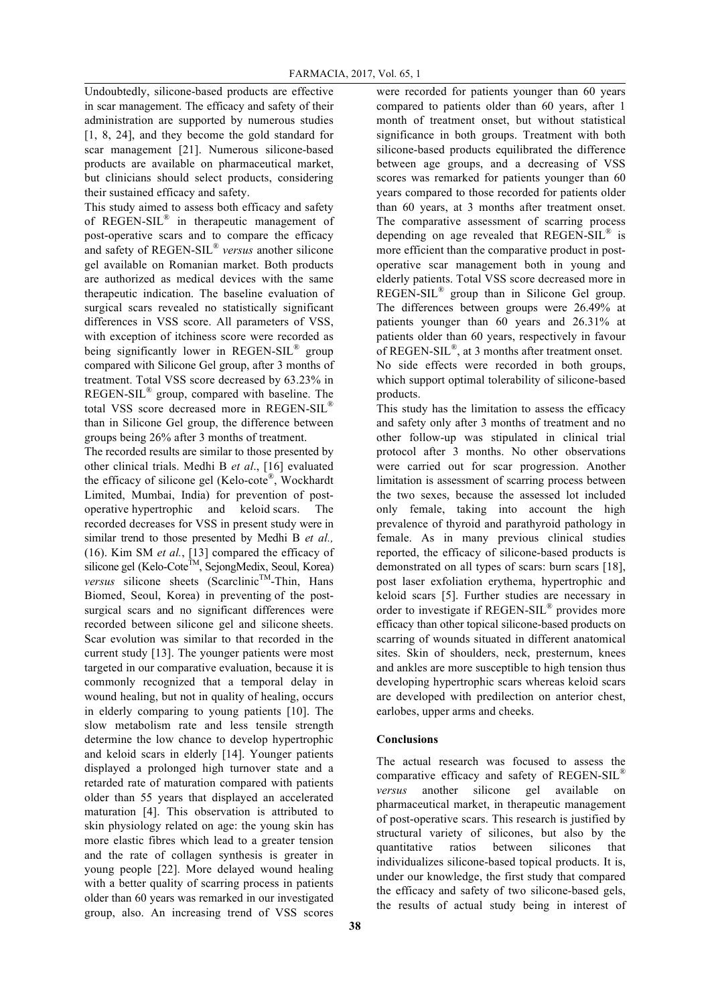Undoubtedly, silicone-based products are effective in scar management. The efficacy and safety of their administration are supported by numerous studies [1, 8, 24], and they become the gold standard for scar management [21]. Numerous silicone-based products are available on pharmaceutical market, but clinicians should select products, considering their sustained efficacy and safety.

This study aimed to assess both efficacy and safety of REGEN-SIL® in therapeutic management of post-operative scars and to compare the efficacy and safety of REGEN-SIL® *versus* another silicone gel available on Romanian market. Both products are authorized as medical devices with the same therapeutic indication. The baseline evaluation of surgical scars revealed no statistically significant differences in VSS score. All parameters of VSS, with exception of itchiness score were recorded as being significantly lower in REGEN-SIL<sup>®</sup> group compared with Silicone Gel group, after 3 months of treatment. Total VSS score decreased by 63.23% in REGEN-SIL® group, compared with baseline. The total VSS score decreased more in REGEN-SIL® than in Silicone Gel group, the difference between groups being 26% after 3 months of treatment.

The recorded results are similar to those presented by other clinical trials. Medhi B *et al*., [16] evaluated the efficacy of silicone gel (Kelo-cote®, Wockhardt Limited, Mumbai, India) for prevention of postoperative hypertrophic and keloid scars. The recorded decreases for VSS in present study were in similar trend to those presented by Medhi B *et al.,* (16). Kim SM *et al.*, [13] compared the efficacy of silicone gel (Kelo-Cote™, SejongMedix, Seoul, Korea) *versus* silicone sheets (Scarclinic<sup>TM</sup>-Thin, Hans Biomed, Seoul, Korea) in preventing of the postsurgical scars and no significant differences were recorded between silicone gel and silicone sheets. Scar evolution was similar to that recorded in the current study [13]. The younger patients were most targeted in our comparative evaluation, because it is commonly recognized that a temporal delay in wound healing, but not in quality of healing, occurs in elderly comparing to young patients [10]. The slow metabolism rate and less tensile strength determine the low chance to develop hypertrophic and keloid scars in elderly [14]. Younger patients displayed a prolonged high turnover state and a retarded rate of maturation compared with patients older than 55 years that displayed an accelerated maturation [4]. This observation is attributed to skin physiology related on age: the young skin has more elastic fibres which lead to a greater tension and the rate of collagen synthesis is greater in young people [22]. More delayed wound healing with a better quality of scarring process in patients older than 60 years was remarked in our investigated group, also. An increasing trend of VSS scores were recorded for patients younger than 60 years compared to patients older than 60 years, after 1 month of treatment onset, but without statistical significance in both groups. Treatment with both silicone-based products equilibrated the difference between age groups, and a decreasing of VSS scores was remarked for patients younger than 60 years compared to those recorded for patients older than 60 years, at 3 months after treatment onset. The comparative assessment of scarring process depending on age revealed that REGEN-SIL® is more efficient than the comparative product in postoperative scar management both in young and elderly patients. Total VSS score decreased more in REGEN-SIL® group than in Silicone Gel group. The differences between groups were 26.49% at patients younger than 60 years and 26.31% at patients older than 60 years, respectively in favour of REGEN-SIL®, at 3 months after treatment onset. No side effects were recorded in both groups, which support optimal tolerability of silicone-based products.

This study has the limitation to assess the efficacy and safety only after 3 months of treatment and no other follow-up was stipulated in clinical trial protocol after 3 months. No other observations were carried out for scar progression. Another limitation is assessment of scarring process between the two sexes, because the assessed lot included only female, taking into account the high prevalence of thyroid and parathyroid pathology in female. As in many previous clinical studies reported, the efficacy of silicone-based products is demonstrated on all types of scars: burn scars [18], post laser exfoliation erythema, hypertrophic and keloid scars [5]. Further studies are necessary in order to investigate if REGEN-SIL® provides more efficacy than other topical silicone-based products on scarring of wounds situated in different anatomical sites. Skin of shoulders, neck, presternum, knees and ankles are more susceptible to high tension thus developing hypertrophic scars whereas keloid scars are developed with predilection on anterior chest, earlobes, upper arms and cheeks.

#### **Conclusions**

The actual research was focused to assess the comparative efficacy and safety of REGEN-SIL® *versus* another silicone gel available on pharmaceutical market, in therapeutic management of post-operative scars. This research is justified by structural variety of silicones, but also by the quantitative ratios between silicones that individualizes silicone-based topical products. It is, under our knowledge, the first study that compared the efficacy and safety of two silicone-based gels, the results of actual study being in interest of